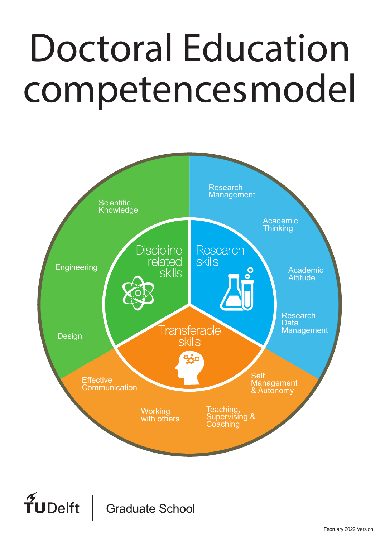# Doctoral Education competencesmodel competences models are competences in the competence of the competences of the competence of the competence of<br>Competence of the competence of the competence of the competence of the competence of the competence of the co



 $\widetilde{T}$ UDelft **Graduate School**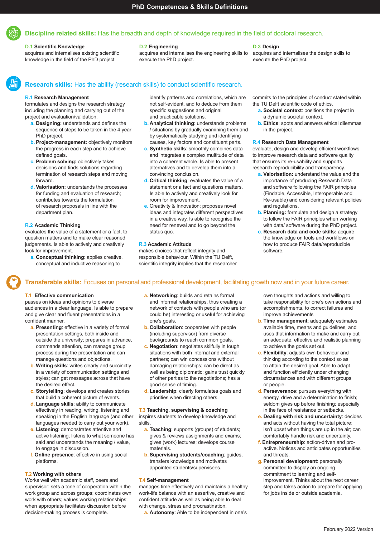

# **D.1 Scientific Knowledge**

acquires and internalises existing scientific knowledge in the field of the PhD project.

# **D.2 Engineering**

acquires and internalises the engineering skills to execute the PhD project.

# **D.3 Design**

acquires and internalises the design skills to execute the PhD project.

# **Research skills:** Has the ability (research skills) to conduct scientific research.

#### **R.1 Research Management**

formulates and designs the research strategy including the planning and carrying out of the project and evaluation/validation.

- **a. Designing:** understands and defines the sequence of steps to be taken in the 4 year PhD project.
- **b.** Project-management: objectively monitors the progress in each step and to achieve defined goals.
- **c. Problem solving:** objectively takes decisions and finds solutions regarding termination of research steps and moving forward.
- **d. Valorisation:** understands the processes for funding and evaluation of research; contributes towards the formulation of research proposals in line with the department plan.

# **R.2 Academic Thinking**

evaluates the value of a statement or a fact, to question matters and to make clear reasoned judgements. Is able to actively and creatively look for improvement.

**a. Conceptual thinking**: applies creative, conceptual and inductive reasoning to

identify patterns and correlations, which are not self-evident, and to deduce from them specific suggestions and original and practicable solutions.

- **b. Analytical thinking**: understands problems / situations by gradually examining them and by systematically studying and identifying causes, key factors and constituent parts.
- **c. Synthetic skills**: smoothly combines data and integrates a complex multitude of data into a coherent whole. Is able to present alternatives and to develop them into a convincing conclusion.
- **d. Critical thinking**: evaluates the value of a statement or a fact and questions matters. Is able to actively and creatively look for room for improvement.
- **e.** Creativity & Innovation: proposes novel ideas and integrates different perspectives in a creative way. Is able to recognise the need for renewal and to go beyond the status quo.

# **R.3 Academic Attitude**

makes choices that reflect integrity and responsible behaviour. Within the TU Delft, scientific integrity implies that the researcher commits to the principles of conduct stated within the TU Delft scientific code of ethics.

- **a. Societal context**: positions the project in a dynamic societal context.
- **b. Ethics**: spots and answers ethical dilemmas in the project.

# **R.4 Research Data Management**

evaluate, design and develop efficient workflows to improve research data and software quality that ensures its re-usability and supports research reproducibility and transparency.

- **a. Valorisation:** understand the value and the importance of producing Research Data and software following the FAIR principles (Findable, Accessible, Interoperable and Re-usable) and considering relevant policies and regulations.
- **b. Planning:** formulate and design a strategy to follow the FAIR principles when working with data/ software during the PhD project.
- **c. Research data and code skills:** acquire the knowledge on tools and workflows on how to produce FAIR data/reproducible software.

# **Transferable skills:** Focuses on personal and professional development, facilitating growth now and in your future career.

# **T.1 Effective communication**

passes on ideas and opinions to diverse audiences in a clear language. Is able to prepare and give clear and fluent presentations in a confident manner.

- **a. Presenting**: effective in a variety of formal presentation settings, both inside and outside the university; prepares in advance, commands attention, can manage group process during the presentation and can manage questions and objections.
- **b. Writing skills**: writes clearly and succinctly in a variety of communication settings and styles; can get messages across that have the desired effect.
- **c. Storytelling**: develops and creates stories that build a coherent picture of events.
- **d. Language skills**: ability to communicate effectively in reading, writing, listening and speaking in the English language (and other languages needed to carry out your work).
- **e. Listening**: demonstrates attentive and active listening; listens to what someone has said and understands the meaning / value, to engage in discussion.
- **f. Online presence**: effective in using social platforms.

# **T.2 Working with others**

Works well with academic staff, peers and supervisor; sets a tone of cooperation within the work group and across groups; coordinates own work with others; values working relationships; when appropriate facilitates discussion before decision-making process is complete.

- **a. Networking**: builds and retains formal and informal relationships, thus creating a network of contacts with people who are (or could be) interesting or useful for achieving one's goals.
- **b. Collaboration**: cooperates with people (including supervisor) from diverse backgrounds to reach common goals.
- **c. Negotiation**: negotiates skilfully in tough situations with both internal and external partners; can win concessions without damaging relationships; can be direct as well as being diplomatic; gains trust quickly of other parties to the negotiations; has a good sense of timing.
- **d. Leadership**: clearly formulates goals and priorities when directing others.

#### **T.3 Teaching, supervising & coaching**

inspires students to develop knowledge and skills.

- **a. Teaching**: supports (groups) of students; gives & reviews assignments and exams; gives (work) lectures; develops course materials.
- **b. Supervising students/coaching**: guides, transfers knowledge and motivates appointed students/supervisees.

#### **T.4 Self-management**

manages time effectively and maintains a healthy work-life balance with an assertive, creative and confident attitude as well as being able to deal with change, stress and procrastination.

**a. Autonomy**: Able to be independent in one's

own thoughts and actions and willing to take responsibility for one's own actions and accomplishments, to correct failures and improve achievements

- **b. Time management**: adequately estimates available time, means and guidelines, and uses that information to make and carry out an adequate, effective and realistic planning to achieve the goals set out.
- **c. Flexibility**: adjusts own behaviour and thinking according to the context so as to attain the desired goal. Able to adapt and function efficiently under changing circumstances and with different groups or people.
- **d. Perseverance**: pursues everything with energy, drive and a determination to finish; seldom gives up before finishing; especially in the face of resistance or setbacks.
- **e. Dealing with risk and uncertainty**: decides and acts without having the total picture; isn't upset when things are up in the air; can comfortably handle risk and uncertainty.
- **f. Entrepreneurship**: action-driven and proactive. Notices and anticipates opportunities and threats.
- **g. Personal development**: personally committed to display an ongoing commitment to learning and selfimprovement. Thinks about the next career step and takes action to prepare for applying for jobs inside or outside academia.